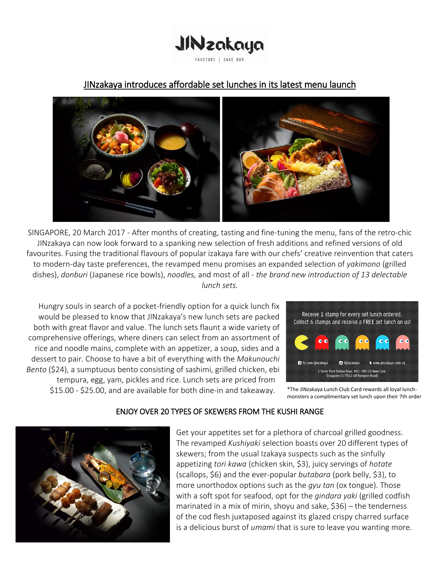

# JINzakaya introduces affordable set lunches in its latest menu launch



SINGAPORE, 20 March 2017 - After months of creating, tasting and fine-tuning the menu, fans of the retro-chic JINzakaya can now look forward to a spanking new selection of fresh additions and refined versions of old favourites. Fusing the traditional flavours of popular izakaya fare with our chefs' creative reinvention that caters to modern-day taste preferences, the revamped menu promises an expanded selection of *yakimono* (grilled dishes), *donburi* (Japanese rice bowls), *noodles,* and most of all - *the brand new introduction of 13 delectable lunch sets.*

Hungry souls in search of a pocket-friendly option for a quick lunch fix would be pleased to know that JINzakaya's new lunch sets are packed both with great flavor and value. The lunch sets flaunt a wide variety of comprehensive offerings, where diners can select from an assortment of rice and noodle mains, complete with an appetizer, a soup, sides and a dessert to pair. Choose to have a bit of everything with the *Makunouchi Bento* (\$24), a sumptuous bento consisting of sashimi, grilled chicken, ebi tempura, egg, yam, pickles and rice. Lunch sets are priced from \$15.00 - \$25.00, and are available for both dine-in and takeaway.



\*The JINzakaya Lunch Club Card rewards all loyal lunchmonsters a complimentary set lunch upon their 7th order

# ENJOY OVER 20 TYPES OF SKEWERS FROM THE KUSHI RANGE



Get your appetites set for a plethora of charcoal grilled goodness. The revamped *Kushiyaki* selection boasts over 20 different types of skewers; from the usual Izakaya suspects such as the sinfully appetizing *tori kawa* (chicken skin, \$3), juicy servings of *hotate*  (scallops, \$6) and the ever-popular *butabara* (pork belly, \$3), to more unorthodox options such as the *gyu tan* (ox tongue). Those with a soft spot for seafood, opt for the *gindara yaki* (grilled codfish marinated in a mix of mirin, shoyu and sake, \$36) *–* the tenderness of the cod flesh juxtaposed against its glazed crispy charred surface is a delicious burst of *umami* that is sure to leave you wanting more.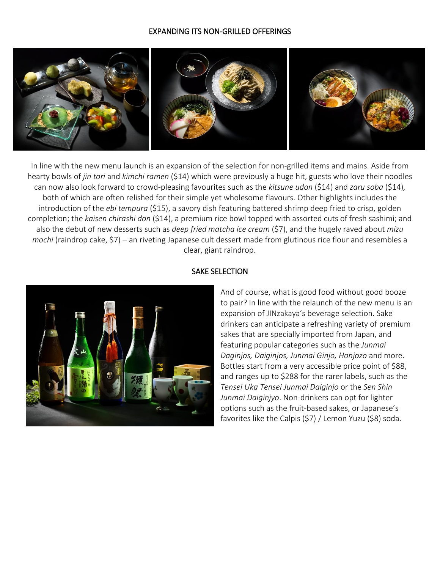### EXPANDING ITS NON-GRILLED OFFERINGS



In line with the new menu launch is an expansion of the selection for non-grilled items and mains. Aside from hearty bowls of *jin tori* and *kimchi ramen* (\$14) which were previously a huge hit, guests who love their noodles can now also look forward to crowd-pleasing favourites such as the *kitsune udon* (\$14) and *zaru soba* (\$14)*,*  both of which are often relished for their simple yet wholesome flavours. Other highlights includes the introduction of the *ebi tempura* (\$15), a savory dish featuring battered shrimp deep fried to crisp, golden completion; the *kaisen chirashi don* (\$14), a premium rice bowl topped with assorted cuts of fresh sashimi; and also the debut of new desserts such as *deep fried matcha ice cream* (\$7), and the hugely raved about *mizu mochi* (raindrop cake, \$7) – an riveting Japanese cult dessert made from glutinous rice flour and resembles a clear, giant raindrop.



## SAKE SELECTION

And of course, what is good food without good booze to pair? In line with the relaunch of the new menu is an expansion of JINzakaya's beverage selection. Sake drinkers can anticipate a refreshing variety of premium sakes that are specially imported from Japan, and featuring popular categories such as the *Junmai Daginjos, Daiginjos, Junmai Ginjo, Honjozo* and more. Bottles start from a very accessible price point of \$88, and ranges up to \$288 for the rarer labels, such as the *Tensei Uka Tensei Junmai Daiginjo* or the *Sen Shin Junmai Daiginjyo*. Non-drinkers can opt for lighter options such as the fruit-based sakes, or Japanese's favorites like the Calpis (\$7) / Lemon Yuzu (\$8) soda.